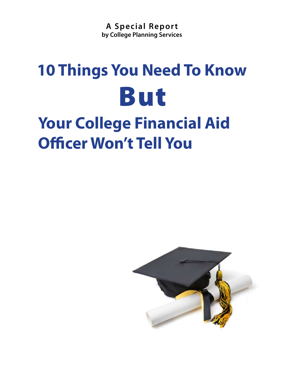**A Special Repor t by College Planning Services**

# **10 Things You Need To Know** But

**Your College Financial Aid Officer Won't Tell You**

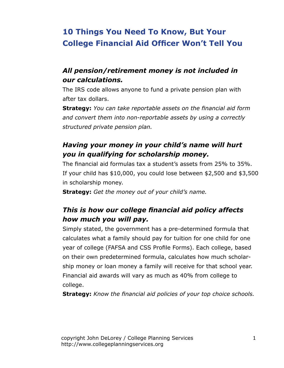# **10 Things You Need To Know, But Your College Financial Aid Officer Won't Tell You**

## *All pension/retirement money is not included in our calculations.*

The IRS code allows anyone to fund a private pension plan with after tax dollars.

**Strategy:** *You can take reportable assets on the financial aid form and convert them into non-reportable assets by using a correctly structured private pension plan.*

## *Having your money in your child's name will hurt you in qualifying for scholarship money.*

The financial aid formulas tax a student's assets from 25% to 35%. If your child has \$10,000, you could lose between \$2,500 and \$3,500 in scholarship money.

**Strategy:** *Get the money out of your child's name.*

# *This is how our college financial aid policy affects how much you will pay.*

Simply stated, the government has a pre-determined formula that calculates what a family should pay for tuition for one child for one year of college (FAFSA and CSS Profile Forms). Each college, based on their own predetermined formula, calculates how much scholarship money or loan money a family will receive for that school year. Financial aid awards will vary as much as 40% from college to college.

**Strategy:** *Know the financial aid policies of your top choice schools.*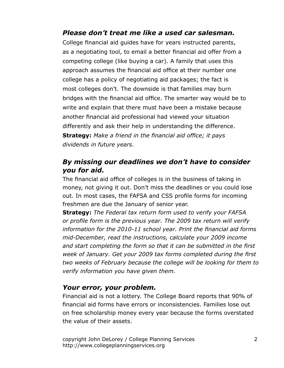#### *Please don't treat me like a used car salesman.*

College financial aid guides have for years instructed parents, as a negotiating tool, to email a better financial aid offer from a competing college (like buying a car). A family that uses this approach assumes the financial aid office at their number one college has a policy of negotiating aid packages; the fact is most colleges don't. The downside is that families may burn bridges with the financial aid office. The smarter way would be to write and explain that there must have been a mistake because another financial aid professional had viewed your situation differently and ask their help in understanding the difference. **Strategy:** *Make a friend in the financial aid office; it pays dividends in future years.*

#### *By missing our deadlines we don't have to consider you for aid.*

The financial aid office of colleges is in the business of taking in money, not giving it out. Don't miss the deadlines or you could lose out. In most cases, the FAFSA and CSS profile forms for incoming freshmen are due the January of senior year.

**Strategy:** *The Federal tax return form used to verify your FAFSA or profile form is the previous year. The 2009 tax return will verify information for the 2010-11 school year. Print the financial aid forms mid-December, read the instructions, calculate your 2009 income and start completing the form so that it can be submitted in the first week of January. Get your 2009 tax forms completed during the first two weeks of February because the college will be looking for them to verify information you have given them.*

#### *Your error, your problem.*

Financial aid is not a lottery. The College Board reports that 90% of financial aid forms have errors or inconsistencies. Families lose out on free scholarship money every year because the forms overstated the value of their assets.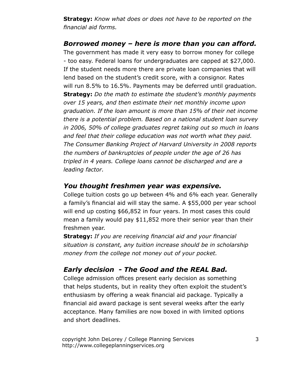**Strategy:** *Know what does or does not have to be reported on the financial aid forms.*

#### *Borrowed money – here is more than you can afford.*

The government has made it very easy to borrow money for college - too easy. Federal loans for undergraduates are capped at \$27,000. If the student needs more there are private loan companies that will lend based on the student's credit score, with a consignor. Rates will run 8.5% to 16.5%. Payments may be deferred until graduation. **Strategy:** *Do the math to estimate the student's monthly payments over 15 years, and then estimate their net monthly income upon graduation. If the loan amount is more than 15% of their net income there is a potential problem. Based on a national student loan survey in 2006, 50% of college graduates regret taking out so much in loans and feel that their college education was not worth what they paid. The Consumer Banking Project of Harvard University in 2008 reports the numbers of bankruptcies of people under the age of 26 has tripled in 4 years. College loans cannot be discharged and are a leading factor.* 

#### *You thought freshmen year was expensive.*

College tuition costs go up between 4% and 6% each year. Generally a family's financial aid will stay the same. A \$55,000 per year school will end up costing \$66,852 in four years. In most cases this could mean a family would pay \$11,852 more their senior year than their freshmen year.

**Strategy:** *If you are receiving financial aid and your financial situation is constant, any tuition increase should be in scholarship money from the college not money out of your pocket.*

#### *Early decision - The Good and the REAL Bad.*

College admission offices present early decision as something that helps students, but in reality they often exploit the student's enthusiasm by offering a weak financial aid package. Typically a financial aid award package is sent several weeks after the early acceptance. Many families are now boxed in with limited options and short deadlines.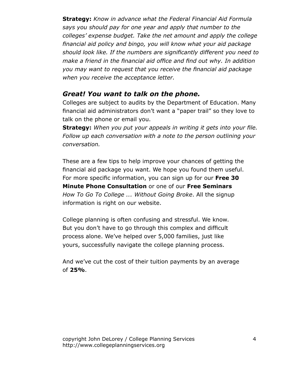**Strategy:** *Know in advance what the Federal Financial Aid Formula says you should pay for one year and apply that number to the colleges' expense budget. Take the net amount and apply the college financial aid policy and bingo, you will know what your aid package should look like. If the numbers are significantly different you need to make a friend in the financial aid office and find out why. In addition you may want to request that you receive the financial aid package when you receive the acceptance letter.* 

#### *Great! You want to talk on the phone.*

Colleges are subject to audits by the Department of Education. Many financial aid administrators don't want a "paper trail" so they love to talk on the phone or email you.

**Strategy:** *When you put your appeals in writing it gets into your file. Follow up each conversation with a note to the person outlining your conversation.* 

These are a few tips to help improve your chances of getting the financial aid package you want. We hope you found them useful. For more specific information, you can sign up for our **Free 30 Minute Phone Consultation** or one of our **Free Seminars**  *How To Go To College ... Without Going Broke*. All the signup information is right on our website.

College planning is often confusing and stressful. We know. But you don't have to go through this complex and difficult process alone. We've helped over 5,000 families, just like yours, successfully navigate the college planning process.

And we've cut the cost of their tuition payments by an average of **25%**.